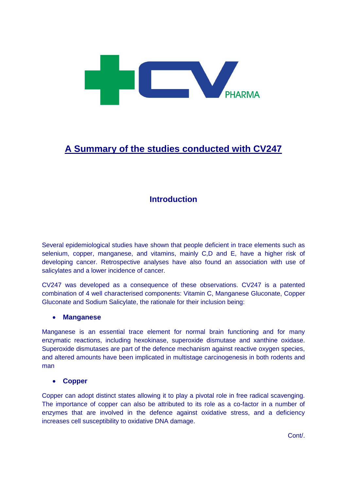

# **A Summary of the studies conducted with CV247**

# **Introduction**

Several epidemiological studies have shown that people deficient in trace elements such as selenium, copper, manganese, and vitamins, mainly C,D and E, have a higher risk of developing cancer. Retrospective analyses have also found an association with use of salicylates and a lower incidence of cancer.

CV247 was developed as a consequence of these observations. CV247 is a patented combination of 4 well characterised components: Vitamin C, Manganese Gluconate, Copper Gluconate and Sodium Salicylate, the rationale for their inclusion being:

#### **Manganese**

Manganese is an essential trace element for normal brain functioning and for many enzymatic reactions, including hexokinase, superoxide dismutase and xanthine oxidase. Superoxide dismutases are part of the defence mechanism against reactive oxygen species, and altered amounts have been implicated in multistage carcinogenesis in both rodents and man

#### **Copper**

Copper can adopt distinct states allowing it to play a pivotal role in free radical scavenging. The importance of copper can also be attributed to its role as a co-factor in a number of enzymes that are involved in the defence against oxidative stress, and a deficiency increases cell susceptibility to oxidative DNA damage.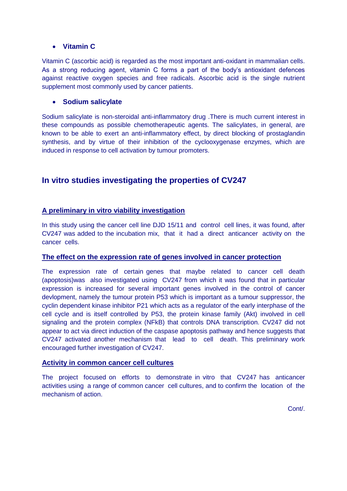#### **Vitamin C**

Vitamin C (ascorbic acid) is regarded as the most important anti-oxidant in mammalian cells. As a strong reducing agent, vitamin C forms a part of the body's antioxidant defences against reactive oxygen species and free radicals. Ascorbic acid is the single nutrient supplement most commonly used by cancer patients.

#### **Sodium salicylate**

Sodium salicylate is non-steroidal anti-inflammatory drug .There is much current interest in these compounds as possible chemotherapeutic agents. The salicylates, in general, are known to be able to exert an anti-inflammatory effect, by direct blocking of prostaglandin synthesis, and by virtue of their inhibition of the cyclooxygenase enzymes, which are induced in response to cell activation by tumour promoters.

# **In vitro studies investigating the properties of CV247**

### **A preliminary in vitro viability investigation**

In this study using the cancer cell line DJD 15/11 and control cell lines, it was found, after CV247 was added to the incubation mix, that it had a direct anticancer activity on the cancer cells.

#### **The effect on the expression rate of genes involved in cancer protection**

The expression rate of certain genes that maybe related to cancer cell death (apoptosis)was also investigated using CV247 from which it was found that in particular expression is increased for several important genes involved in the control of cancer devlopment, namely the tumour protein P53 which is important as a tumour suppressor, the cyclin dependent kinase inhibitor P21 which acts as a regulator of the early interphase of the cell cycle and is itself controlled by P53, the protein kinase family (Akt) involved in cell signaling and the protein complex (NFkB) that controls DNA transcription. CV247 did not appear to act via direct induction of the caspase apoptosis pathway and hence suggests that CV247 activated another mechanism that lead to cell death. This preliminary work encouraged further investigation of CV247.

#### **Activity in common cancer cell cultures**

The project focused on efforts to demonstrate in vitro that CV247 has anticancer activities using a range of common cancer cell cultures, and to confirm the location of the mechanism of action.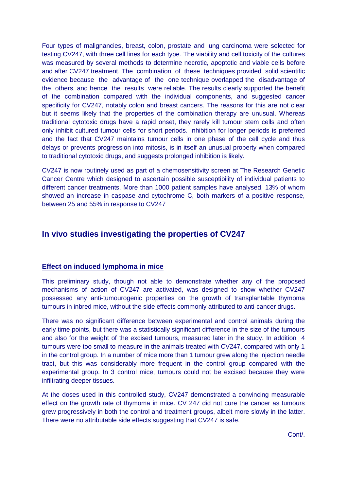Four types of malignancies, breast, colon, prostate and lung carcinoma were selected for testing CV247, with three cell lines for each type. The viability and cell toxicity of the cultures was measured by several methods to determine necrotic, apoptotic and viable cells before and after CV247 treatment. The combination of these techniques provided solid scientific evidence because the advantage of the one technique overlapped the disadvantage of the others, and hence the results were reliable. The results clearly supported the benefit of the combination compared with the individual components, and suggested cancer specificity for CV247, notably colon and breast cancers. The reasons for this are not clear but it seems likely that the properties of the combination therapy are unusual. Whereas traditional cytotoxic drugs have a rapid onset, they rarely kill tumour stem cells and often only inhibit cultured tumour cells for short periods. Inhibition for longer periods is preferred and the fact that CV247 maintains tumour cells in one phase of the cell cycle and thus delays or prevents progression into mitosis, is in itself an unusual property when compared to traditional cytotoxic drugs, and suggests prolonged inhibition is likely.

CV247 is now routinely used as part of a chemosensitivity screen at The Research Genetic Cancer Centre which designed to ascertain possible susceptibility of individual patients to different cancer treatments. More than 1000 patient samples have analysed, 13% of whom showed an increase in caspase and cytochrome C, both markers of a positive response, between 25 and 55% in response to CV247

### **In vivo studies investigating the properties of CV247**

#### **Effect on induced lymphoma in mice**

This preliminary study, though not able to demonstrate whether any of the proposed mechanisms of action of CV247 are activated, was designed to show whether CV247 possessed any anti-tumourogenic properties on the growth of transplantable thymoma tumours in inbred mice, without the side effects commonly attributed to anti-cancer drugs.

There was no significant difference between experimental and control animals during the early time points, but there was a statistically significant difference in the size of the tumours and also for the weight of the excised tumours, measured later in the study. In addition 4 tumours were too small to measure in the animals treated with CV247, compared with only 1 in the control group. In a number of mice more than 1 tumour grew along the injection needle tract, but this was considerably more frequent in the control group compared with the experimental group. In 3 control mice, tumours could not be excised because they were infiltrating deeper tissues.

At the doses used in this controlled study, CV247 demonstrated a convincing measurable effect on the growth rate of thymoma in mice. CV 247 did not cure the cancer as tumours grew progressively in both the control and treatment groups, albeit more slowly in the latter. There were no attributable side effects suggesting that CV247 is safe.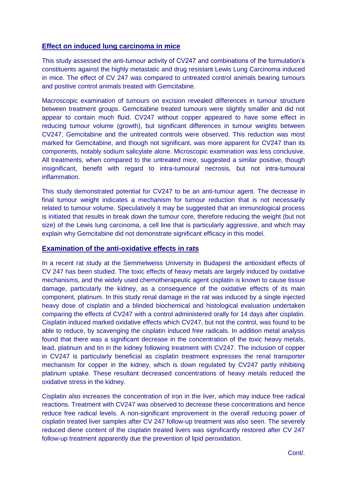#### **Effect on induced lung carcinoma in mice**

This study assessed the anti-tumour activity of CV247 and combinations of the formulation's constituents against the highly metastatic and drug resistant Lewis Lung Carcinoma induced in mice. The effect of CV 247 was compared to untreated control animals bearing tumours and positive control animals treated with Gemcitabine.

Macroscopic examination of tumours on excision revealed differences in tumour structure between treatment groups. Gemcitabine treated tumours were slightly smaller and did not appear to contain much fluid. CV247 without copper appeared to have some effect in reducing tumour volume (growth), but significant differences in tumour weights between CV247, Gemcitabine and the untreated controls were observed. This reduction was most marked for Gemcitabine, and though not significant, was more apparent for CV247 than its components, notably sodium salicylate alone. Microscopic examination was less conclusive. All treatments, when compared to the untreated mice, suggested a similar positive, though insignificant, benefit with regard to intra-tumoural necrosis, but not intra-tumoural inflammation.

This study demonstrated potential for CV247 to be an anti-tumour agent. The decrease in final tumour weight indicates a mechanism for tumour reduction that is not necessarily related to tumour volume. Speculatively it may be suggested that an immunological process is initiated that results in break down the tumour core, therefore reducing the weight (but not size) of the Lewis lung carcinoma, a cell line that is particularly aggressive, and which may explain why Gemcitabine did not demonstrate significant efficacy in this model.

#### **Examination of the anti-oxidative effects in rats**

In a recent rat study at the Semmelweiss University in Budapest the antioxidant effects of CV 247 has been studied. The toxic effects of heavy metals are largely induced by oxidative mechanisms, and the widely used chemotherapeutic agent cisplatin is known to cause tissue damage, particularly the kidney, as a consequence of the oxidative effects of its main component, platinum. In this study renal damage in the rat was induced by a single injected heavy dose of cisplatin and a blinded biochemical and histological evaluation undertaken comparing the effects of CV247 with a control administered orally for 14 days after cisplatin. Cisplatin induced marked oxidative effects which CV247, but not the control, was found to be able to reduce, by scavenging the cisplatin induced free radicals. In addition metal analysis found that there was a significant decrease in the concentration of the toxic heavy metals, lead, platinum and tin in the kidney following treatment with CV247. The inclusion of copper in CV247 is particularly beneficial as cisplatin treatment expresses the renal transporter mechanism for copper in the kidney, which is down regulated by CV247 partly inhibiting platinum uptake. These resultant decreased concentrations of heavy metals reduced the oxidative stress in the kidney.

Cisplatin also increases the concentration of iron in the liver, which may induce free radical reactions. Treatment with CV247 was observed to decrease these concentrations and hence reduce free radical levels. A non-significant improvement in the overall reducing power of cisplatin treated liver samples after CV 247 follow-up treatment was also seen. The severely reduced diene content of the cisplatin treated livers was significantly restored after CV 247 follow-up treatment apparently due the prevention of lipid peroxidation.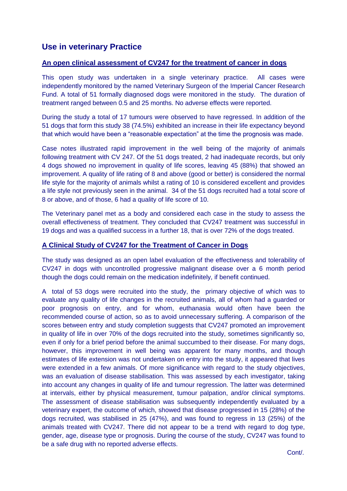## **Use in veterinary Practice**

#### **An open clinical assessment of CV247 for the treatment of cancer in dogs**

This open study was undertaken in a single veterinary practice. All cases were independently monitored by the named Veterinary Surgeon of the Imperial Cancer Research Fund. A total of 51 formally diagnosed dogs were monitored in the study. The duration of treatment ranged between 0.5 and 25 months. No adverse effects were reported.

During the study a total of 17 tumours were observed to have regressed. In addition of the 51 dogs that form this study 38 (74.5%) exhibited an increase in their life expectancy beyond that which would have been a "reasonable expectation" at the time the prognosis was made.

Case notes illustrated rapid improvement in the well being of the majority of animals following treatment with CV 247. Of the 51 dogs treated, 2 had inadequate records, but only 4 dogs showed no improvement in quality of life scores, leaving 45 (88%) that showed an improvement. A quality of life rating of 8 and above (good or better) is considered the normal life style for the majority of animals whilst a rating of 10 is considered excellent and provides a life style not previously seen in the animal. 34 of the 51 dogs recruited had a total score of 8 or above, and of those, 6 had a quality of life score of 10.

The Veterinary panel met as a body and considered each case in the study to assess the overall effectiveness of treatment. They concluded that CV247 treatment was successful in 19 dogs and was a qualified success in a further 18, that is over 72% of the dogs treated.

#### **A Clinical Study of CV247 for the Treatment of Cancer in Dogs**

The study was designed as an open label evaluation of the effectiveness and tolerability of CV247 in dogs with uncontrolled progressive malignant disease over a 6 month period though the dogs could remain on the medication indefinitely, if benefit continued.

A total of 53 dogs were recruited into the study, the primary objective of which was to evaluate any quality of life changes in the recruited animals, all of whom had a guarded or poor prognosis on entry, and for whom, euthanasia would often have been the recommended course of action, so as to avoid unnecessary suffering. A comparison of the scores between entry and study completion suggests that CV247 promoted an improvement in quality of life in over 70% of the dogs recruited into the study, sometimes significantly so, even if only for a brief period before the animal succumbed to their disease. For many dogs, however, this improvement in well being was apparent for many months, and though estimates of life extension was not undertaken on entry into the study, it appeared that lives were extended in a few animals. Of more significance with regard to the study objectives, was an evaluation of disease stabilisation. This was assessed by each investigator, taking into account any changes in quality of life and tumour regression. The latter was determined at intervals, either by physical measurement, tumour palpation, and/or clinical symptoms. The assessment of disease stabilisation was subsequently independently evaluated by a veterinary expert, the outcome of which, showed that disease progressed in 15 (28%) of the dogs recruited, was stabilised in 25 (47%), and was found to regress in 13 (25%) of the animals treated with CV247. There did not appear to be a trend with regard to dog type, gender, age, disease type or prognosis. During the course of the study, CV247 was found to be a safe drug with no reported adverse effects.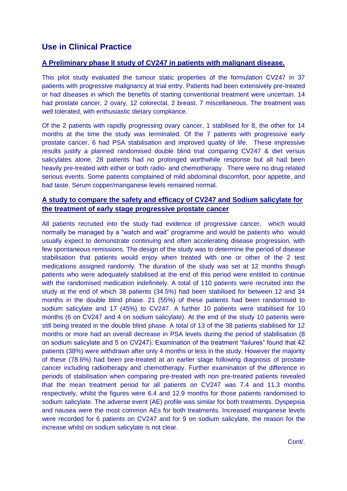## **Use in Clinical Practice**

#### **A Preliminary phase II study of CV247 in patients with malignant disease.**

This pilot study evaluated the tumour static properties of the formulation CV247 in 37 patients with progressive malignancy at trial entry. Patients had been extensively pre-treated or had diseases in which the benefits of starting conventional treatment were uncertain. 14 had prostate cancer, 2 ovary, 12 colorectal, 2 breast, 7 miscellaneous. The treatment was well tolerated, with enthusiastic dietary compliance.

Of the 2 patients with rapidly progressing ovary cancer, 1 stabilised for 8, the other for 14 months at the time the study was terminated. Of the 7 patients with progressive early prostate cancer, 6 had PSA stabilisation and improved quality of life. These impressive results justify a planned randomised double blind trial comparing CV247 & diet versus salicylates alone. 28 patients had no prolonged worthwhile response but all had been heavily pre-treated with either or both radio- and chemotherapy. There were no drug related serious events. Some patients complained of mild abdominal discomfort, poor appetite, and bad taste. Serum copper/manganese levels remained normal.

### **A study to compare the safety and efficacy of CV247 and Sodium salicylate for the treatment of early stage progressive prostate cancer**

All patients recruited into the study had evidence of progressive cancer, which would normally be managed by a "watch and wait" programme and would be patients who would usually expect to demonstrate continuing and often accelerating disease progression, with few spontaneous remissions. The design of the study was to determine the period of disease stabilisation that patients would enjoy when treated with one or other of the 2 test medications assigned randomly. The duration of the study was set at 12 months though patients who were adequately stabilised at the end of this period were entitled to continue with the randomised medication indefinitely. A total of 110 patients were recruited into the study at the end of which 38 patients (34.5%) had been stabilised for between 12 and 34 months in the double blind phase. 21 (55%) of these patients had been randomised to sodium salicylate and 17 (45%) to CV247. A further 10 patients were stabilised for 10 months (6 on CV247 and 4 on sodium salicylate). At the end of the study 10 patients were still being treated in the double blind phase. A total of 13 of the 38 patients stabilised for 12 months or more had an overall decrease in PSA levels during the period of stabilisation (8 on sodium salicylate and 5 on CV247). Examination of the treatment "failures" found that 42 patients (38%) were withdrawn after only 4 months or less in the study. However the majority of these (78.6%) had been pre-treated at an earlier stage following diagnosis of prostate cancer including radiotherapy and chemotherapy. Further examination of the difference in periods of stabilisation when comparing pre-treated with non pre-treated patients revealed that the mean treatment period for all patients on CV247 was 7.4 and 11.3 months respectively, whilst the figures were 6.4 and 12.9 months for those patients randomised to sodium salicylate. The adverse event (AE) profile was similar for both treatments. Dyspepsia and nausea were the most common AEs for both treatments. Increased manganese levels were recorded for 6 patients on CV247 and for 9 on sodium salicylate, the reason for the increase whilst on sodium salicylate is not clear.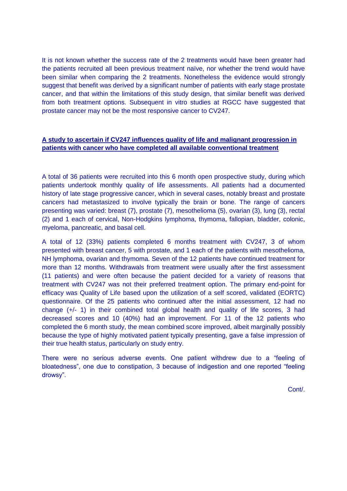It is not known whether the success rate of the 2 treatments would have been greater had the patients recruited all been previous treatment naïve, nor whether the trend would have been similar when comparing the 2 treatments. Nonetheless the evidence would strongly suggest that benefit was derived by a significant number of patients with early stage prostate cancer, and that within the limitations of this study design, that similar benefit was derived from both treatment options. Subsequent in vitro studies at RGCC have suggested that prostate cancer may not be the most responsive cancer to CV247.

#### **A study to ascertain if CV247 influences quality of life and malignant progression in patients with cancer who have completed all available conventional treatment**

A total of 36 patients were recruited into this 6 month open prospective study, during which patients undertook monthly quality of life assessments. All patients had a documented history of late stage progressive cancer, which in several cases, notably breast and prostate cancers had metastasized to involve typically the brain or bone. The range of cancers presenting was varied: breast (7), prostate (7), mesothelioma (5), ovarian (3), lung (3), rectal (2) and 1 each of cervical, Non-Hodgkins lymphoma, thymoma, fallopian, bladder, colonic, myeloma, pancreatic, and basal cell.

A total of 12 (33%) patients completed 6 months treatment with CV247, 3 of whom presented with breast cancer, 5 with prostate, and 1 each of the patients with mesothelioma, NH lymphoma, ovarian and thymoma. Seven of the 12 patients have continued treatment for more than 12 months. Withdrawals from treatment were usually after the first assessment (11 patients) and were often because the patient decided for a variety of reasons that treatment with CV247 was not their preferred treatment option. The primary end-point for efficacy was Quality of Life based upon the utilization of a self scored, validated (EORTC) questionnaire. Of the 25 patients who continued after the initial assessment, 12 had no change (+/- 1) in their combined total global health and quality of life scores, 3 had decreased scores and 10 (40%) had an improvement. For 11 of the 12 patients who completed the 6 month study, the mean combined score improved, albeit marginally possibly because the type of highly motivated patient typically presenting, gave a false impression of their true health status, particularly on study entry.

There were no serious adverse events. One patient withdrew due to a "feeling of bloatedness", one due to constipation, 3 because of indigestion and one reported "feeling drowsy".